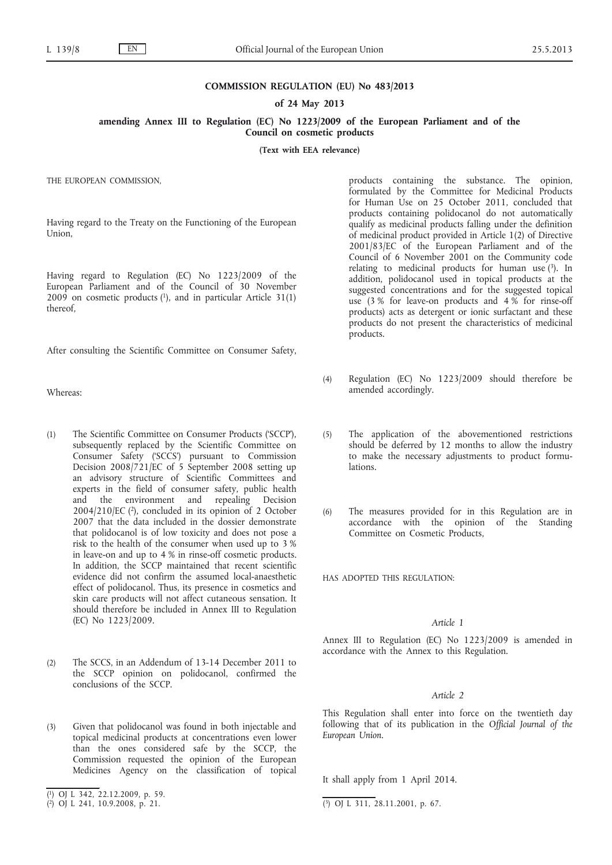## **COMMISSION REGULATION (EU) No 483/2013**

## **of 24 May 2013**

**amending Annex III to Regulation (EC) No 1223/2009 of the European Parliament and of the Council on cosmetic products**

**(Text with EEA relevance)**

THE EUROPEAN COMMISSION,

Having regard to the Treaty on the Functioning of the European Union,

Having regard to Regulation (EC) No 1223/2009 of the European Parliament and of the Council of 30 November  $2009$  on cosmetic products  $(1)$ , and in particular Article 31(1) thereof,

After consulting the Scientific Committee on Consumer Safety,

Whereas:

- (1) The Scientific Committee on Consumer Products ('SCCP'), subsequently replaced by the Scientific Committee on Consumer Safety ('SCCS') pursuant to Commission Decision 2008/721/EC of 5 September 2008 setting up an advisory structure of Scientific Committees and experts in the field of consumer safety, public health and the environment and repealing Decision 2004/210/EC (2), concluded in its opinion of 2 October 2007 that the data included in the dossier demonstrate that polidocanol is of low toxicity and does not pose a risk to the health of the consumer when used up to 3 % in leave-on and up to 4 % in rinse-off cosmetic products. In addition, the SCCP maintained that recent scientific evidence did not confirm the assumed local-anaesthetic effect of polidocanol. Thus, its presence in cosmetics and skin care products will not affect cutaneous sensation. It should therefore be included in Annex III to Regulation (EC) No 1223/2009.
- (2) The SCCS, in an Addendum of 13-14 December 2011 to the SCCP opinion on polidocanol, confirmed the conclusions of the SCCP.
- (3) Given that polidocanol was found in both injectable and topical medicinal products at concentrations even lower than the ones considered safe by the SCCP, the Commission requested the opinion of the European Medicines Agency on the classification of topical

products containing the substance. The opinion, formulated by the Committee for Medicinal Products for Human Use on 25 October 2011, concluded that products containing polidocanol do not automatically qualify as medicinal products falling under the definition of medicinal product provided in Article 1(2) of Directive 2001/83/EC of the European Parliament and of the Council of 6 November 2001 on the Community code relating to medicinal products for human use  $(3)$ . In addition, polidocanol used in topical products at the suggested concentrations and for the suggested topical use (3 % for leave-on products and 4 % for rinse-off products) acts as detergent or ionic surfactant and these products do not present the characteristics of medicinal products.

- (4) Regulation (EC) No 1223/2009 should therefore be amended accordingly.
- (5) The application of the abovementioned restrictions should be deferred by 12 months to allow the industry to make the necessary adjustments to product formulations.
- (6) The measures provided for in this Regulation are in accordance with the opinion of the Standing Committee on Cosmetic Products,

HAS ADOPTED THIS REGULATION:

## *Article 1*

Annex III to Regulation (EC) No 1223/2009 is amended in accordance with the Annex to this Regulation.

## *Article 2*

This Regulation shall enter into force on the twentieth day following that of its publication in the *Official Journal of the European Union*.

It shall apply from 1 April 2014.

<sup>(</sup> 1) OJ L 342, 22.12.2009, p. 59.

<sup>(</sup> 2) OJ L 241, 10.9.2008, p. 21. (3) OJ L 311, 28.11.2001, p. 67.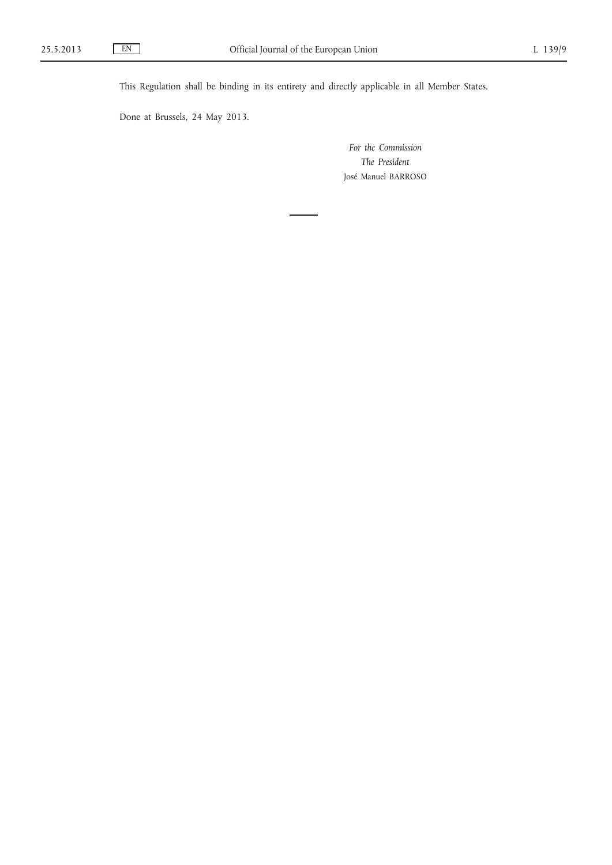This Regulation shall be binding in its entirety and directly applicable in all Member States.

Done at Brussels, 24 May 2013.

*For the Commission The President* José Manuel BARROSO